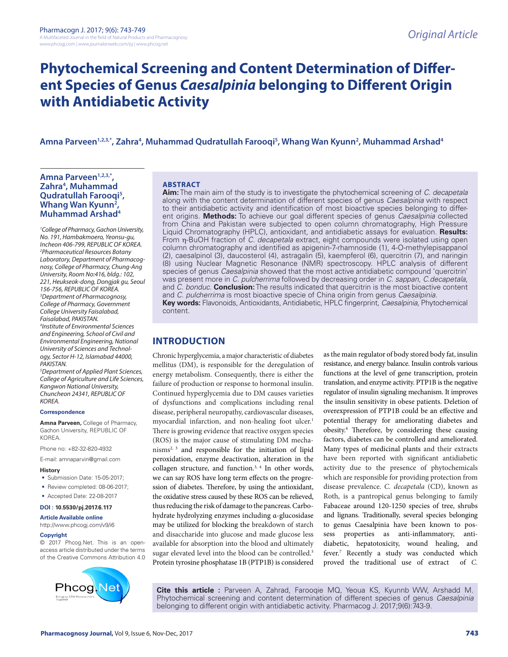# **Phytochemical Screening and Content Determination of Different Species of Genus** *Caesalpinia* **belonging to Different Origin with Antidiabetic Activity**

# **Amna Parveen1,2,3,\*, Zahra4 , Muhammad Qudratullah Farooqi5 , Whang Wan Kyunn2 , Muhammad Arshad4**

### Amna Parveen<sup>1,2,3,\*</sup>, **Zahra4 , Muhammad Qudratullah Farooqi5 ,**  Whang Wan Kyunn<sup>2</sup>, **Muhammad Arshad4**

*1 College of Pharmacy, Gachon University, No. 191, Hambakmoero, Yeonsu-gu, Incheon 406-799, REPUBLIC OF KOREA. 2 Pharmaceutical Resources Botany Laboratory, Department of Pharmacognosy, College of Pharmacy, Chung-Ang University, Room No:416, bldg.: 102, 221, Heukseok-dong, Dongjak gu, Seoul 156-756, REPUBLIC OF KOREA. 3 Department of Pharmacognosy, College of Pharmacy, Government College University Faisalabad, Faisalabad, PAKISTAN. 4 Institute of Environmental Sciences and Engineering, School of Civil and Environmental Engineering, National University of Sciences and Technology, Sector H-12, Islamabad 44000, PAKISTAN.* 

*5 Department of Applied Plant Sciences, College of Agriculture and Life Sciences, Kangwon National University, Chuncheon 24341, REPUBLIC OF KOREA.*

#### **Correspondence**

**Amna Parveen,** College of Pharmacy, Gachon University, REPUBLIC OF KOREA.

Phone no: +82-32-820-4932

E-mail: amnaparvin@gmail.com

#### **History**

- Submission Date: 15-05-2017;
- Review completed: 08-06-2017;
- Accepted Date: 22-08-2017

#### **DOI : 10.5530/pj.2017.6.117**

**Article Available online** 

#### http://www.phcogj.com/v9/i6

#### **Copyright**

© 2017 Phcog.Net. This is an openaccess article distributed under the terms of the Creative Commons Attribution 4.0



#### **ABSTRACT**

**Aim:** The main aim of the study is to investigate the phytochemical screening of *C. decapetala* along with the content determination of different species of genus *Caesalpinia* with respect to their antidiabetic activity and identification of most bioactive species belonging to different origins. **Methods:** To achieve our goal different species of genus *Caesalpinia* collected from China and Pakistan were subjected to open column chromatography, High Pressure Liquid Chromatography (HPLC), antioxidant, and antidiabetic assays for evaluation. **Results:** From η-BuOH fraction of *C. decapetala* extract, eight compounds were isolated using open column chromatography and identified as apigenin-7-rhamnoside (1), 4-O-methylepisappanol (2), caesalpinol (3), daucosterol (4), astragalin (5), kaempferol (6), quercitrin (7), and naringin (8) using Nuclear Magnetic Resonance (NMR) spectroscopy. HPLC analysis of different species of genus *Caesalpinia* showed that the most active antidiabetic compound 'quercitrin' was present more in *C. pulcherrima* followed by decreasing order in *C. sappan*, *C.decapetala*, and *C. bonduc*. **Conclusion:** The results indicated that quercitrin is the most bioactive content and *C*. *pulcherrima* is most bioactive specie of China origin from genus *Caesalpinia.* **Key words:** Flavonoids, Antioxidants, Antidiabetic, HPLC fingerprint, *Caesalpinia*, Phytochemical content.

# **INTRODUCTION**

Chronic hyperglycemia, a major characteristic of diabetes mellitus (DM), is responsible for the deregulation of energy metabolism. Consequently, there is either the failure of production or response to hormonal insulin. Continued hyperglycemia due to DM causes varieties of dysfunctions and complications including renal disease, peripheral neuropathy, cardiovascular diseases, myocardial infarction, and non-healing foot ulcer.<sup>1</sup> There is growing evidence that reactive oxygen species (ROS) is the major cause of stimulating DM mecha $n$ isms<sup>2, 3</sup> and responsible for the initiation of lipid peroxidation, enzyme deactivation, alteration in the collagen structure, and function.3, 4 In other words, we can say ROS have long term effects on the progression of diabetes. Therefore, by using the antioxidant, the oxidative stress caused by these ROS can be relieved, thus reducing the risk of damage to the pancreas. Carbohydrate hydrolyzing enzymes including α-glucosidase may be utilized for blocking the breakdown of starch and disaccharide into glucose and made glucose less available for absorption into the blood and ultimately sugar elevated level into the blood can be controlled. 5 Protein tyrosine phosphatase 1B (PTP1B) is considered

as the main regulator of body stored body fat, insulin resistance, and energy balance. Insulin controls various functions at the level of gene transcription, protein translation, and enzyme activity. PTP1B is the negative regulator of insulin signaling mechanism. It improves the insulin sensitivity in obese patients. Deletion of overexpression of PTP1B could be an effective and potential therapy for ameliorating diabetes and obesity.6 Therefore, by considering these causing factors, diabetes can be controlled and ameliorated. Many types of medicinal plants and their extracts have been reported with significant antidiabetic activity due to the presence of phytochemicals which are responsible for providing protection from disease prevalence. *C. decapetala* (CD), known as Roth, is a pantropical genus belonging to family Fabaceae around 120-1250 species of tree, shrubs and lignans. Traditionally, several species belonging to genus Caesalpinia have been known to possess properties as anti-inflammatory, antidiabetic, hepatotoxicity, wound healing, and fever.7 Recently a study was conducted which proved the traditional use of extract of *C.* 

**Cite this article :** Parveen A, Zahrad, Farooqie MQ, Yeoua KS, Kyunnb WW, Arshadd M. Phytochemical screening and content determination of different species of genus *Caesalpinia*  belonging to different origin with antidiabetic activity. Pharmacog J. 2017;9(6):743-9.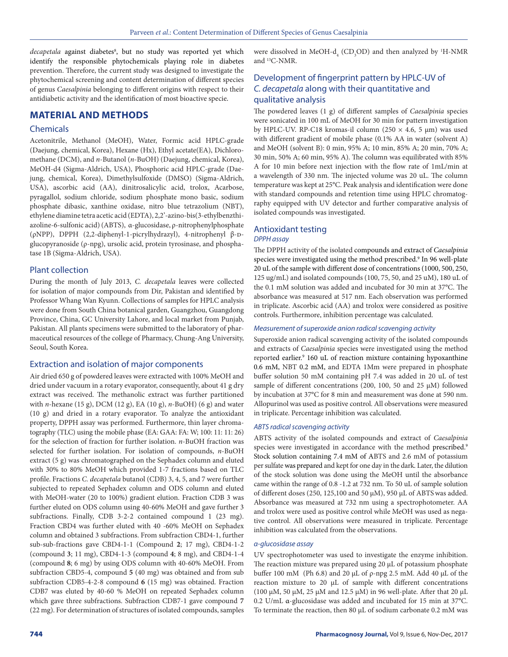decapetala against diabetes<sup>8</sup>, but no study was reported yet which identify the responsible phytochemicals playing role in diabetes prevention. Therefore, the current study was designed to investigate the phytochemical screening and content determination of different species of genus *Caesalpinia* belonging to different origins with respect to their antidiabetic activity and the identification of most bioactive specie.

# **MATERIAL AND METHODS**

#### Chemicals

Acetonitrile, Methanol (MeOH), Water, Formic acid HPLC-grade (Daejung, chemical, Korea), Hexane (Hx), Ethyl acetate(EA), Dichloromethane (DCM), and *n*-Butanol (*n*-BuOH) (Daejung, chemical, Korea), MeOH-d4 (Sigma-Aldrich, USA), Phosphoric acid HPLC-grade (Daejung, chemical, Korea), Dimethylsulfoxide (DMSO) (Sigma-Aldrich, USA), ascorbic acid (AA), dinitrosalicylic acid, trolox, Acarbose, pyragallol, sodium chloride, sodium phosphate mono basic, sodium phosphate dibasic, xanthine oxidase, nitro blue tetrazolium (NBT), ethylene diamine tetra acetic acid (EDTA), 2,2'-azino-bis(3-ethylbenzthiazoline-6-sulfonic acid) (ABTS), α-glucosidase, ρ-nitrophenylphosphate (ρNPP), DPPH (2,2-diphenyl-1-picrylhydrazyl), 4-nitrophenyl β-Dglucopyranoside (ρ-npg), ursolic acid, protein tyrosinase, and phosphatase 1B (Sigma-Aldrich, USA).

#### Plant collection

During the month of July 2013, *C. decapetala* leaves were collected for isolation of major compounds from Dir, Pakistan and identified by Professor Whang Wan Kyunn. Collections of samples for HPLC analysis were done from South China botanical garden, Guangzhou, Guangdong Province, China, GC University Lahore, and local market from Punjab, Pakistan. All plants specimens were submitted to the laboratory of pharmaceutical resources of the college of Pharmacy, Chung-Ang University, Seoul, South Korea.

#### Extraction and isolation of major components

Air dried 650 g of powdered leaves were extracted with 100% MeOH and dried under vacuum in a rotary evaporator, consequently, about 41 g dry extract was received. The methanolic extract was further partitioned with *n*-hexane (15 g), DCM (12 g), EA (10 g), *n*-BuOH) (6 g) and water (10 g) and dried in a rotary evaporator. To analyze the antioxidant property, DPPH assay was performed. Furthermore, thin layer chromatography (TLC) using the mobile phase (EA: GAA: FA: W; 100: 11: 11: 26) for the selection of fraction for further isolation. *n*-BuOH fraction was selected for further isolation. For isolation of compounds, *n*-BuOH extract (5 g) was chromatographed on the Sephadex column and eluted with 30% to 80% MeOH which provided 1-7 fractions based on TLC profile. Fractions *C. decapetala* butanol (CDB) 3, 4, 5, and 7 were further subjected to repeated Sephadex column and ODS column and eluted with MeOH-water (20 to 100%) gradient elution. Fraction CDB 3 was further eluted on ODS column using 40-60% MeOH and gave further 3 subfractions. Finally, CDB 3-2-2 contained compound 1 (23 mg). Fraction CBD4 was further eluted with 40 -60% MeOH on Sephadex column and obtained 3 subfractions. From subfraction CBD4-1, further sub-sub-fractions gave CBD4-1-1 (Compound **2**; 17 mg), CBD4-1-2 (compound **3**; 11 mg), CBD4-1-3 (compound **4**; 8 mg), and CBD4-1-4 (compound **8**; 6 mg) by using ODS column with 40-60% MeOH. From subfraction CBD5-4, compound **5** (40 mg) was obtained and from sub subfraction CDB5-4-2-8 compound **6** (15 mg) was obtained. Fraction CDB7 was eluted by 40-60 % MeOH on repeated Sephadex column which gave three subfractions. Subfraction CDB7-1 gave compound **7** (22 mg). For determination of structures of isolated compounds, samples

were dissolved in MeOH- $d_4$  (CD<sub>3</sub>OD) and then analyzed by <sup>1</sup>H-NMR and 13C-NMR.

# Development of fingerprint pattern by HPLC-UV of *C. decapetala* along with their quantitative and qualitative analysis

The powdered leaves (1 g) of different samples of *Caesalpinia* species were sonicated in 100 mL of MeOH for 30 min for pattern investigation by HPLC-UV. RP-C18 kromas-il column (250  $\times$  4.6, 5 µm) was used with different gradient of mobile phase (0.1% AA in water (solvent A) and MeOH (solvent B): 0 min, 95% A; 10 min, 85% A; 20 min, 70% A; 30 min, 50% A; 60 min, 95% A). The column was equilibrated with 85% A for 10 min before next injection with the flow rate of 1mL/min at a wavelength of 330 nm. The injected volume was 20 uL. The column temperature was kept at 25°C. Peak analysis and identification were done with standard compounds and retention time using HPLC chromatography equipped with UV detector and further comparative analysis of isolated compounds was investigated.

#### Antioxidant testing *DPPH assay*

The DPPH activity of the isolated compounds and extract of *Caesalpinia* species were investigated using the method prescribed.<sup>9</sup> In 96 well-plate 20 uL of the sample with different dose of concentrations (1000, 500, 250, 125 ug/mL) and isolated compounds (100, 75, 50, and 25 uM), 180 uL of the 0.1 mM solution was added and incubated for 30 min at 37°C. The absorbance was measured at 517 nm. Each observation was performed in triplicate. Ascorbic acid (AA) and trolox were considered as positive controls. Furthermore, inhibition percentage was calculated.

#### *Measurement of superoxide anion radical scavenging activity*

Superoxide anion radical scavenging activity of the isolated compounds and extracts of *Caesalpinia* species were investigated using the method reported earlier.<sup>9</sup> 160 uL of reaction mixture containing hypoxanthine 0.6 mM, NBT 0.2 mM, and EDTA 1Mm were prepared in phosphate buffer solution 50 mM containing pH 7.4 was added in 20 uL of test sample of different concentrations (200, 100, 50 and 25  $\mu$ M) followed by incubation at 37°C for 8 min and measurement was done at 590 nm. Allopurinol was used as positive control. All observations were measured in triplicate. Percentage inhibition was calculated.

#### *ABTS radical scavenging activity*

ABTS activity of the isolated compounds and extract of *Caesalpinia* species were investigated in accordance with the method prescribed.<sup>9</sup> Stock solution containing 7.4 mM of ABTS and 2.6 mM of potassium per sulfate was prepared and kept for one day in the dark. Later, the dilution of the stock solution was done using the MeOH until the absorbance came within the range of 0.8 -1.2 at 732 nm. To 50 uL of sample solution of different doses (250, 125,100 and 50  $\mu$ M), 950  $\mu$ L of ABTS was added. Absorbance was measured at 732 nm using a spectrophotometer. AA and trolox were used as positive control while MeOH was used as negative control. All observations were measured in triplicate. Percentage inhibition was calculated from the observations.

#### *α-glucosidase assay*

UV spectrophotometer was used to investigate the enzyme inhibition. The reaction mixture was prepared using 20 μL of potassium phosphate buffer 100 mM (Ph 6.8) and 20 μL of ρ-npg 2.5 mM. Add 40 μL of the reaction mixture to 20 μL of sample with different concentrations (100 μM, 50 μM, 25 μM and 12.5 μM) in 96 well-plate. After that 20 μL 0.2 U/mL α-glucosidase was added and incubated for 15 min at 37°C. To terminate the reaction, then 80 μL of sodium carbonate 0.2 mM was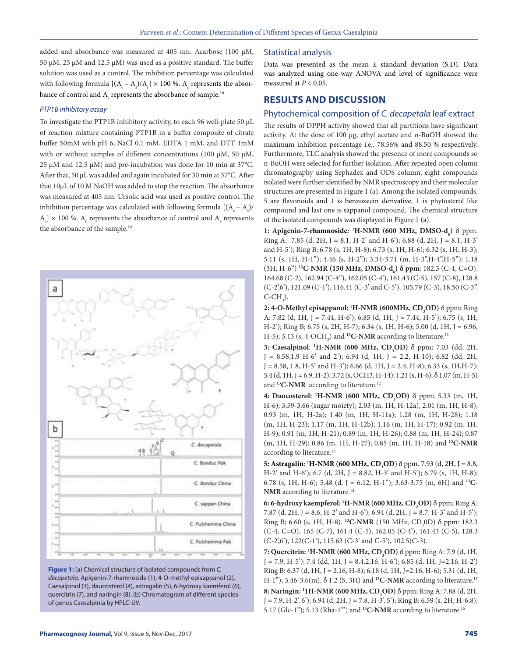added and absorbance was measured at 405 nm. Acarbose (100 μM, 50 μM, 25 μM and 12.5 μM) was used as a positive standard. The buffer solution was used as a control. The inhibition percentage was calculated with following formula  $[(A_c - A_s)/A_c] \times 100$  %.  $A_c$  represents the absorbance of control and  $A_s$  represents the absorbance of sample.<sup>10</sup>

#### *PTP1B inhibitory assay*

To investigate the PTP1B inhibitory activity, to each 96 well-plate 50 μL of reaction mixture containing PTP1B in a buffer composite of citrate buffer 50mM with pH 6, NaCl 0.1 mM, EDTA 1 mM, and DTT 1mM with or without samples of different concentrations (100 μM, 50 μM, 25 μM and 12.5 μM) and pre-incubation was done for 10 min at 37°C. After that, 50 μL was added and again incubated for 30 min at 37°C. After that 10μL of 10 M NaOH was added to stop the reaction. The absorbance was measured at 405 nm. Ursolic acid was used as positive control. The inhibition percentage was calculated with following formula  $[(A_c - A_s)/$  $[A_c] \times 100$  %.  $A_c$  represents the absorbance of control and  $A_s$  represents the absorbance of the sample.10





#### Statistical analysis

Data was presented as the mean ± standard deviation (S.D). Data was analyzed using one-way ANOVA and level of significance were measured at  $P < 0.05$ .

# **RESULTS AND DISCUSSION**

## Phytochemical composition of *C. decapetala* leaf extract

The results of DPPH activity showed that all partitions have significant activity. At the dose of 100 μg, ethyl acetate and *n*-BuOH showed the maximum inhibition percentage i.e., 78.56% and 88.50 % respectively. Furthermore, TLC analysis showed the presence of more compounds so n-BuOH were selected for further isolation. After repeated open column chromatography using Sephadex and ODS column, eight compounds isolated were further identified by NMR spectroscopy and their molecular structures are presented in Figure 1 (a). Among the isolated compounds, 5 are flavonoids and 1 is benzoxecin derivative, 1 is phytosterol like compound and last one is sappanol compound. The chemical structure of the isolated compounds was displayed in Figure 1 (a).

**1: Apigenin-7-rhamnoside: <sup>1</sup>H-NMR (600 MHz, DMSO-d<sub>6</sub>) δ ppm.** Ring A: 7.85 (d, 2H, J = 8.1, H-2' and H-6'); 6.88 (d, 2H, J = 8.1, H-3' and H-5'); Ring B; 6.78 (s, 1H, H-8); 6.73 (s, 1H, H-6); 6.32 (s, 1H, H-3); 5.11 (s, 1H, H-1"); 4.46 (s, H-2"); 3.34-3.71 (m, H-3",H-4",H-5"); 1.18 (3H, H-6<sup>")</sup> <sup>13</sup>**C-NMR** (150 MHz, DMSO-d<sub>6</sub>) δ ppm: 182.3 (C-4, C=O), 164.68 (C-2), 162.94 (C-4''), 162.05 (C-4'), 161.43 (C-5), 157 (C-8), 128.8 (C-2',6'), 121.09 (C-1'), 116.41 (C-3' and C-5'), 105.79 (C-3), 18.50 (C-3'',  $C$ -CH<sub>3</sub>).

**2: 4-O-Methyl episappanol: <sup>1</sup>H-NMR (600MHz, CD<sub>3</sub>OD) δ ppm: Ring** A: 7.82 (d, 1H, J = 7.44, H-6'); 6.85 (d, 1H, J = 7.44, H-5'); 6.75 (s, 1H, H-2'); Ring B; 6.75 (s, 2H, H-7); 6.34 (s, 1H, H-6); 5.00 (d, 1H, J = 6.96, H-5); 3.13 (s, 4-OCH<sub>3</sub>) and <sup>13</sup>**C-NMR** according to literature.<sup>11</sup>

**3: Caesalpinol: <sup>1</sup>H-NMR (600 MHz, CD<sub>3</sub>OD) δ ppm:** 7.03 (dd, 2H,  $J = 8.58, 1.9$  H-6' and 2'); 6.94 (d, 1H,  $J = 2.2$ , H-10); 6.82 (dd, 2H,  $J = 8.58, 1.8, H-5'$  and  $H-3'$ ); 6.66 (d, 1H,  $J = 2.4, H-8$ ); 6.33 (s, 1H, H-7);  $5.4$  (d, 1H, J = 6.9, H-2); 3.72 (s, OCH3, H-14); 1.21 (s, H-6);  $\delta$  1.07 (m, H-5) and **13C-NMR** according to literature.12

**4: Daucosterol: <sup>1</sup>H-NMR (600 MHz, CD<sub>3</sub>OD) δ ppm: 5.33 (m, 1H,** H-6); 3.59-3.66 (sugar moiety); 2.03 (m, 1H, H-12a), 2.01 (m, 1H, H-8); 0.93 (m, 1H, H-2a); 1.40 (m, 1H, H-11a); 1.28 (m, 1H, H-28); 1.18 (m, 1H, H-23); 1.17 (m, 1H, H-12b); 1.16 (m, 1H, H-17); 0.92 (m, 1H, H-9); 0.91 (m, 1H, H-21); 0.89 (m, 1H, H-26); 0.88 (m, 1H, H-24); 0.87 (m, 1H, H-29); 0.86 (m, 1H, H-27); 0.85 (m, 1H, H-18) and **13C-NMR**  according to literature.<sup>13</sup>

**5: Astragalin: <sup>1</sup>H-NMR (600 MHz, CD<sub>3</sub>OD**) δ ppm. 7.93 (d, 2H, J = 8.8, H-2' and H-6'); 6.7 (d, 2H, J = 8.82, H-3' and H-5'); 6.79 (s, 1H, H-8); 6.78 (s, 1H, H-6); 5.48 (d, J = 6.12, H-1''); 3.63-3.75 (m, 6H) and **13C-NMR** according to literature.14

**6: 6-hydroxy kaempferol: 'H-NMR (600 MHz,**  $CD_3OD$ **)**  $\delta$  **ppm: Ring A:** 7.87 (d, 2H, J = 8.6, H-2' and H-6'); 6.94 (d, 2H, J = 8.7, H-3' and H-5'); Ring B; 6.60 (s, 1H, H-8). <sup>13</sup>**C-NMR** (150 MHz, CD<sub>3</sub>0D) δ ppm: 182.3 (C-4, C=O), 165 (C-7), 161.4 (C-5), 162.05 (C-4'), 161.43 (C-5), 128.3 (C-2',6'), 122(C-1'), 115.63 (C-3' and C-5'), 102.5(C-3).

**7: Quercitrin: <sup>1</sup>H-NMR (600 MHz, CD<sub>3</sub>OD) δ ppm: Ring A: 7.9 (d, 1H,**  $J = 7.9, H-5$ '); 7.4 (dd, 1H,  $J = 8.4, 2.16, H-6$ '); 6.85 (d, 1H,  $J=2.16, H-2'$ ) Ring B: 6.37 (d, 1H, J = 2.16, H-8); 6.18 (d, 1H, J = 2.16, H-6); 5.31 (d, 1H, H-1''); 3.46-3.6(m), δ 1.2 (S, 3H) and **13C-NMR** according to literature.15

**8: Naringin:** <sup>1</sup>**1H-NMR (600 MHz, CD<sub>3</sub>OD) δ ppm:** Ring A: 7.88 (d, 2H,  $J = 7.9, H-2, 6$ ); 6.94 (d, 2H, J = 7.8, H-3', 5'); Ring B: 6.59 (s, 2H, H-6,8); 5.17 (Glc-1''); 5.13 (Rha-1''') and **13C-NMR** according to literature.16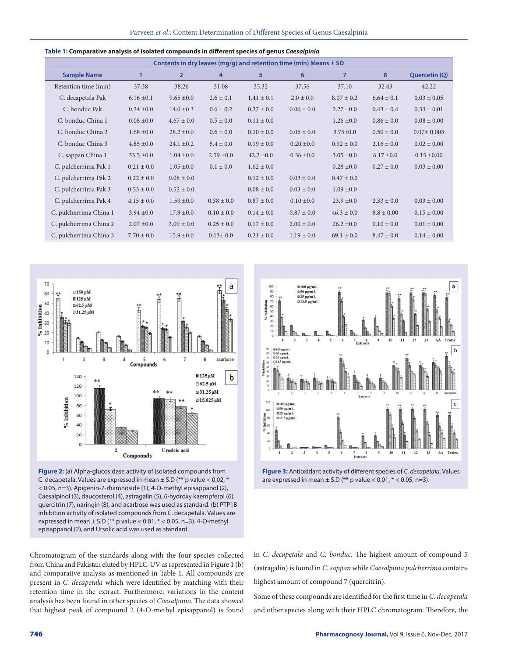| Contents in dry leaves (mg/g) and retention time (min) Means $\pm$ SD |                |                |                |                |                |                |                |                  |
|-----------------------------------------------------------------------|----------------|----------------|----------------|----------------|----------------|----------------|----------------|------------------|
| <b>Sample Name</b>                                                    |                | $\overline{2}$ | 4              | 5              | 6              | $\overline{7}$ | 8              | Quercetin (Q)    |
| Retention time (min)                                                  | 37.38          | 38.26          | 31.08          | 35.32          | 37.56          | 37.10          | 32.43          | 42.22            |
| C. decapetala Pak                                                     | $6.16 \pm 0.1$ | $9.65 \pm 0.0$ | $2.6 \pm 0.1$  | $1.41 \pm 0.1$ | $2.0 \pm 0.0$  | $8.07 \pm 0.2$ | $6.64 \pm 0.1$ | $0.03 \pm 0.05$  |
| C. bonduc Pak                                                         | $0.24 \pm 0.0$ | $14.0 \pm 0.3$ | $0.6 \pm 0.2$  | $0.37 \pm 0.0$ | $0.06 \pm 0.0$ | $2.27 \pm 0.0$ | $0.43 \pm 0.4$ | $0.33 \pm 0.01$  |
| C. bonduc China 1                                                     | $0.08 \pm 0.0$ | $4.67 \pm 0.0$ | $0.5 \pm 0.0$  | $0.11 \pm 0.0$ |                | $1.26 \pm 0.0$ | $0.86 \pm 0.0$ | $0.08 \pm 0.00$  |
| C. bonduc China 2                                                     | $1.68 \pm 0.0$ | $28.2 \pm 0.0$ | $0.6 \pm 0.0$  | $0.10 \pm 0.0$ | $0.06 \pm 0.0$ | $3.75 \pm 0.0$ | $0.50 \pm 0.0$ | $0.07 \pm 0.003$ |
| C. bonduc China 3                                                     | $4.85 \pm 0.0$ | $24.1 \pm 0.2$ | $5.4 \pm 0.0$  | $0.19 \pm 0.0$ | $0.20 \pm 0.0$ | $0.92 \pm 0.0$ | $2.16 \pm 0.0$ | $0.02 \pm 0.00$  |
| C. sappan China 1                                                     | $33.5 \pm 0.0$ | $1.04 \pm 0.0$ | $2.59 \pm 0.0$ | $42.2 \pm 0.0$ | $0.36 \pm 0.0$ | $3.05 \pm 0.0$ | $6.17 \pm 0.0$ | $0.15 \pm 0.00$  |
| C. pulcherrima Pak 1                                                  | $0.21 \pm 0.0$ | $1.05 \pm 0.0$ | $0.1 \pm 0.0$  | $1.62 \pm 0.0$ |                | $0.28 \pm 0.0$ | $0.27 \pm 0.0$ | $0.03 \pm 0.00$  |
| C. pulcherrima Pak 2                                                  | $0.22 \pm 0.0$ | $0.08 \pm 0.0$ |                | $0.12 \pm 0.0$ | $0.03 \pm 0.0$ | $0.47 \pm 0.0$ |                |                  |
| C. pulcherrima Pak 3                                                  | $0.53 \pm 0.0$ | $0.52 \pm 0.0$ |                | $0.08 \pm 0.0$ | $0.03 \pm 0.0$ | $1.09 \pm 0.0$ |                |                  |
| C. pulcherrima Pak 4                                                  | $4.15 \pm 0.0$ | $1.59 \pm 0.0$ | $0.38 \pm 0.0$ | $0.87 \pm 0.0$ | $0.10 \pm 0.0$ | $23.9 \pm 0.0$ | $2.33 \pm 0.0$ | $0.03 \pm 0.00$  |
| C. pulcherrima China 1                                                | $3.94 \pm 0.0$ | $17.9 \pm 0.0$ | $0.10 \pm 0.0$ | $0.14 \pm 0.0$ | $0.87 \pm 0.0$ | $46.3 \pm 0.0$ | $8.8 \pm 0.00$ | $0.15 \pm 0.00$  |
| C. pulcherrima China 2                                                | $2.07 \pm 0.0$ | $3.09 \pm 0.0$ | $0.25 \pm 0.0$ | $0.17 \pm 0.0$ | $2.00 \pm 0.0$ | $26.2 \pm 0.0$ | $0.10 \pm 0.0$ | $0.01 \pm 0.00$  |
| C. pulcherrima China 3                                                | $7.70 \pm 0.0$ | $15.9 \pm 0.0$ | $0.13 \pm 0.0$ | $0.21 \pm 0.0$ | $1.19 \pm 0.0$ | $69.1 \pm 0.0$ | $8.47 \pm 0.0$ | $0.14 \pm 0.00$  |





**Figure 2:** (a) Alpha-glucosidase activity of isolated compounds from C. decapetala. Values are expressed in mean  $\pm$  S.D (\*\* p value < 0.02, \* < 0.05, n=3). Apigenin-7-rhamnoside (1), 4-O-methyl episappanol (2), Caesalpinol (3), daucosterol (4), astragalin (5), 6-hydroxy kaempferol (6), quercitrin (7), naringin (8), and acarbose was used as standard. (b) PTP1B inhibition activity of isolated compounds from C. decapetala. Values are expressed in mean  $\pm$  S.D (\*\* p value < 0.01, \* < 0.05, n=3). 4-O-methyl episappanol (2), and Ursolic acid was used as standard.



**Figure 3:** Antioxidant activity of different species of *C. decapetala*. Values are expressed in mean  $\pm$  S.D (\*\* p value < 0.01, \* < 0.05, n=3).

Chromatogram of the standards along with the four-species collected from China and Pakistan eluted by HPLC-UV as represented in Figure 1 (b) and comparative analysis as mentioned in Table 1. All compounds are present in *C. decapetala* which were identified by matching with their retention time in the extract. Furthermore, variations in the content analysis has been found in other species of *Caesalpinia*. The data showed that highest peak of compound 2 (4-O-methyl episappanol) is found in *C. decapetala* and *C. bonduc*. The highest amount of compound 5 (astragalin) is found in *C. sappan* while *Caesalpinia pulcherrima* contains highest amount of compound 7 (quercitrin).

Some of these compounds are identified for the first time in *C. decapetala* and other species along with their HPLC chromatogram. Therefore, the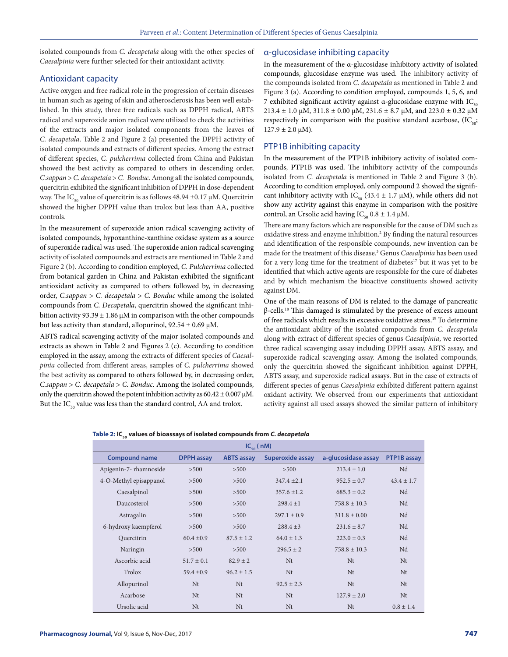isolated compounds from *C. decapetala* along with the other species of *Caesalpinia* were further selected for their antioxidant activity.

#### Antioxidant capacity

Active oxygen and free radical role in the progression of certain diseases in human such as ageing of skin and atherosclerosis has been well established. In this study, three free radicals such as DPPH radical, ABTS radical and superoxide anion radical were utilized to check the activities of the extracts and major isolated components from the leaves of *C. decapetala*. Table 2 and Figure 2 (a) presented the DPPH activity of isolated compounds and extracts of different species. Among the extract of different species, *C. pulcherrima* collected from China and Pakistan showed the best activity as compared to others in descending order, *C.sappan* > *C. decapetala* > *C. Bonduc*. Among all the isolated compounds, quercitrin exhibited the significant inhibition of DPPH in dose-dependent way. The IC<sub>50</sub> value of quercitrin is as follows  $48.94 \pm 0.17 \mu M$ . Quercitrin showed the higher DPPH value than trolox but less than AA, positive controls.

In the measurement of superoxide anion radical scavenging activity of isolated compounds, hypoxanthine-xanthine oxidase system as a source of superoxide radical was used. The superoxide anion radical scavenging activity of isolated compounds and extracts are mentioned in Table 2 and Figure 2 (b). According to condition employed, *C. Pulcherrima* collected from botanical garden in China and Pakistan exhibited the significant antioxidant activity as compared to others followed by, in decreasing order, *C.sappan* > *C. decapetala* > *C. Bonduc* while among the isolated compounds from *C. Decapetala*, quercitrin showed the significant inhibition activity  $93.39 \pm 1.86$  μM in comparison with the other compounds but less activity than standard, allopurinol,  $92.54 \pm 0.69 \mu M$ .

ABTS radical scavenging activity of the major isolated compounds and extracts as shown in Table 2 and Figures 2 (c). According to condition employed in the assay, among the extracts of different species of *Caesalpinia* collected from different areas, samples of *C. pulcherrima* showed the best activity as compared to others followed by, in decreasing order, *C.sappan* > *C. decapetala* > *C. Bonduc*. Among the isolated compounds, only the quercitrin showed the potent inhibition activity as  $60.42 \pm 0.007 \mu M$ . But the  $IC_{50}$  value was less than the standard control, AA and trolox.

#### α-glucosidase inhibiting capacity

In the measurement of the α-glucosidase inhibitory activity of isolated compounds, glucosidase enzyme was used. The inhibitory activity of the compounds isolated from *C. decapetala* as mentioned in Table 2 and Figure 3 (a). According to condition employed, compounds 1, 5, 6, and 7 exhibited significant activity against α-glucosidase enzyme with  $IC_{50}$ 213.4 ± 1.0 μM, 311.8 ± 0.00 μM, 231.6 ± 8.7 μM, and 223.0 ± 0.32 μM respectively in comparison with the positive standard acarbose,  $(IC_{50};$  $127.9 \pm 2.0 \,\mu\text{M}$ ).

### PTP1B inhibiting capacity

In the measurement of the PTP1B inhibitory activity of isolated compounds, PTP1B was used. The inhibitory activity of the compounds isolated from *C. decapetala* is mentioned in Table 2 and Figure 3 (b). According to condition employed, only compound 2 showed the significant inhibitory activity with IC<sub>50</sub> (43.4 ± 1.7 µM), while others did not show any activity against this enzyme in comparison with the positive control, an Ursolic acid having  $IC_{50}$  0.8  $\pm$  1.4 μM.

There are many factors which are responsible for the cause of DM such as oxidative stress and enzyme inhibition.<sup>2</sup> By finding the natural resources and identification of the responsible compounds, new invention can be made for the treatment of this disease.3 Genus *Caesalpinia* has been used for a very long time for the treatment of diabetes<sup>17</sup> but it was yet to be identified that which active agents are responsible for the cure of diabetes and by which mechanism the bioactive constituents showed activity against DM.

One of the main reasons of DM is related to the damage of pancreatic β-cells.18 This damaged is stimulated by the presence of excess amount of free radicals which results in excessive oxidative stress.19 To determine the antioxidant ability of the isolated compounds from *C. decapetala*  along with extract of different species of genus *Caesalpinia*, we resorted three radical scavenging assay including DPPH assay, ABTS assay, and superoxide radical scavenging assay. Among the isolated compounds, only the quercitrin showed the significant inhibition against DPPH, ABTS assay, and superoxide radical assays. But in the case of extracts of different species of genus *Caesalpinia* exhibited different pattern against oxidant activity. We observed from our experiments that antioxidant activity against all used assays showed the similar pattern of inhibitory

|  |  |  |  | Table 2: IC <sub><sub>so</sub> values of bioassays of isolated compounds from <i>C. decapetala</i></sub> |  |  |
|--|--|--|--|----------------------------------------------------------------------------------------------------------|--|--|
|--|--|--|--|----------------------------------------------------------------------------------------------------------|--|--|

| $IC_{\epsilon_0}$ (nM) |                   |                   |                  |                     |                |  |  |  |  |
|------------------------|-------------------|-------------------|------------------|---------------------|----------------|--|--|--|--|
| <b>Compound name</b>   | <b>DPPH</b> assay | <b>ABTS assay</b> | Superoxide assay | a-glucosidase assay | PTP1B assay    |  |  |  |  |
| Apigenin-7- rhamnoside | >500              | >500              | >500             | $213.4 \pm 1.0$     | Nd             |  |  |  |  |
| 4-O-Methyl episappanol | >500              | >500              | $347.4 + 2.1$    | $952.5 \pm 0.7$     | $43.4 \pm 1.7$ |  |  |  |  |
| Caesalpinol            | >500              | >500              | $357.6 + 1.2$    | $685.3 \pm 0.2$     | Nd             |  |  |  |  |
| Daucosterol            | >500              | >500              | $298.4 + 1$      | $758.8 \pm 10.3$    | Nd             |  |  |  |  |
| Astragalin             | >500              | >500              | $297.1 \pm 0.9$  | $311.8 \pm 0.00$    | Nd             |  |  |  |  |
| 6-hydroxy kaempferol   | >500              | >500              | $288.4 + 3$      | $231.6 \pm 8.7$     | Nd             |  |  |  |  |
| Quercitrin             | $60.4 \pm 0.9$    | $87.5 + 1.2$      | $64.0 \pm 1.3$   | $223.0 \pm 0.3$     | Nd             |  |  |  |  |
| Naringin               | >500              | >500              | $296.5 + 2$      | $758.8 \pm 10.3$    | Nd             |  |  |  |  |
| Ascorbic acid          | $51.7 \pm 0.1$    | $82.9 + 2$        | N <sub>t</sub>   | N <sub>t</sub>      | Nt             |  |  |  |  |
| Trolox                 | $59.4 + 0.9$      | $96.2 + 1.5$      | N <sub>t</sub>   | N <sub>t</sub>      | N <sub>t</sub> |  |  |  |  |
| Allopurinol            | N <sub>t</sub>    | N <sub>t</sub>    | $92.5 + 2.3$     | Nt                  | Nt             |  |  |  |  |
| Acarbose               | Nt                | N <sub>t</sub>    | Nt               | $127.9 \pm 2.0$     | Nt             |  |  |  |  |
| Ursolic acid           | N <sub>t</sub>    | N <sub>t</sub>    | Nt               | N <sub>t</sub>      | $0.8 \pm 1.4$  |  |  |  |  |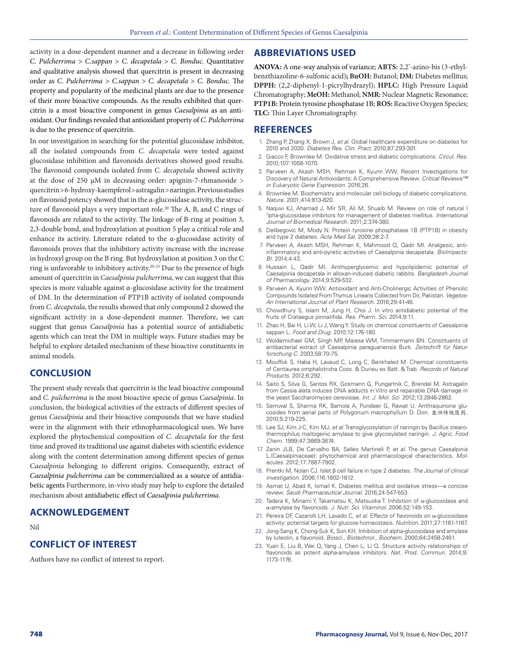activity in a dose-dependent manner and a decrease in following order *C. Pulcherrima > C.sappan* > *C. decapetala* > *C. Bonduc.* Quantitative and qualitative analysis showed that quercitrin is present in decreasing order as *C. Pulcherrima > C.sappan* > *C. decapetala* > *C. Bonduc.* The property and popularity of the medicinal plants are due to the presence of their more bioactive compounds. As the results exhibited that quercitrin is a most bioactive component in genus *Caesalpinia* as an antioxidant. Our findings revealed that antioxidant property of *C. Pulcherrima* is due to the presence of quercitrin.

In our investigation in searching for the potential glucosidase inhibitor, all the isolated compounds from *C. decapetala* were tested against glucosidase inhibition and flavonoids derivatives showed good results. The flavonoid compounds isolated from *C. decapetala* showed activity at the dose of 250 μΜ in decreasing order: apignin-7-rhmanoside > quercitrin > 6-hydroxy-kaempferol > astragalin > naringin. Previous studies on flavonoid potency showed that in the α-glucosidase activity, the structure of flavonoid plays a very important role.<sup>20</sup> The A, B, and C rings of flavonoids are related to the activity. The linkage of B-ring at position 3, 2,3-double bond, and hydroxylation at position 5 play a critical role and enhance its activity. Literature related to the α-glucosidase activity of flavonoids proves that the inhibitory activity increase with the increase in hydroxyl group on the B ring. But hydroxylation at position 3 on the C ring is unfavorable to inhibitory activity.20-23 Due to the presence of high amount of quercitrin in *Caesalpinia pulcherrima*, we can suggest that this species is more valuable against α-glucosidase activity for the treatment of DM. In the determination of PTP1B activity of isolated compounds from *C. decapetala,* the results showed that only compound 2 showed the significant activity in a dose-dependent manner. Therefore, we can suggest that genus *Caesalpinia* has a potential source of antidiabetic agents which can treat the DM in multiple ways. Future studies may be helpful to explore detailed mechanism of these bioactive constituents in animal models.

# **CONCLUSION**

The present study reveals that quercitrin is the lead bioactive compound and *C. pulcherrima* is the most bioactive specie of genus *Caesalpinia*. In conclusion, the biological activities of the extracts of different species of genus *Caesalpinia* and their bioactive compounds that we have studied were in the alignment with their ethnopharmacological uses. We have explored the phytochemical composition of *C. decapetala* for the first time and proved its traditional use against diabetes with scientific evidence along with the content determination among different species of genus *Caesalpinia* belonging to different origins. Consequently, extract of *Caesalpinia pulcherrima* can be commercialized as a source of antidiabetic agents Furthermore, in-vivo study may help to explore the detailed mechanism about antidiabetic effect of *Caesalpinia pulcherrima*.

# **ACKNOWLEDGEMENT**

Nil

# **CONFLICT OF INTEREST**

Authors have no conflict of interest to report.

### **ABBREVIATIONS USED**

**ANOVA:** A one-way analysis of variance; **ABTS:** 2,2'-azino-bis (3-ethylbenzthiazoline-6-sulfonic acid)**; BuOH:** Butanol; **DM:** Diabetes mellitus; **DPPH:** (2,2-diphenyl-1-picrylhydrazyl); **HPLC:** High Pressure Liquid Chromatography; **MeOH:** Methanol; **NMR:** Nuclear Magnetic Resonance; **PTP1B:** Protein tyrosine phosphatase 1B; **ROS:** Reactive Oxygen Species; **TLC:** Thin Layer Chromatography.

# **REFERENCES**

- 1. Zhang P, Zhang X, Brown J, *et al*. Global healthcare expenditure on diabetes for 2010 and 2030. *Diabetes Res. Clin. Pract.* 2010;87:293-301.
- 2. Giacco F, Brownlee M. Oxidative stress and diabetic complications. *Circul. Res.* 2010;107:1058-1070.
- 3. Parveen A, Akash MSH, Rehman K, Kyunn WW. Recent Investigations for Discovery of Natural Antioxidants: A Comprehensive Review. *Critical Reviews™ in Eukaryotic Gene Expression.* 2016;26.
- 4. Brownlee M. Biochemistry and molecular cell biology of diabetic complications. *Nature.* 2001;414:813-820.
- 5. Naquvi KJ, Ahamad J, Mir SR, Ali M, Shuaib M. Review on role of natural î 'lpha-glucosidase inhibitors for management of diabetes mellitus. *International Journal of Biomedical Research.* 2011;2:374-380.
- 6. Delibegovic M, Mody N. Protein tyrosine phosphatase 1B (PTP1B) in obesity and type 2 diabetes. *Acta Med Sal.* 2009;38:2-7.
- 7. Parveen A, Akash MSH, Rehman K, Mahmood Q, Qadir MI. Analgesic, antiinflammatory and anti-pyretic activities of Caesalpinia decapetala. *BioImpacts: BI.* 2014;4:43.
- 8. Hussain L, Qadir MI. Antihyperglycemic and hypolipidemic potential of Caesalpinia decapetala in alloxan-induced diabetic rabbits. *Bangladesh Journal of Pharmacology.* 2014;9:529-532.
- 9. Parveen A, Kyunn WW. Antioxidant and Anti-Cholinergic Activities of Phenolic Compounds Isolated From Thymus Linearis Collected from Dir, Pakistan. *Vegetos-An International Journal of Plant Research.* 2016;29:41-46.
- 10. Chowdhury S, Islam M, Jung H, Choi J. In vitro antidiabetic potential of the fruits of Crataegus pinnatifida. *Res. Pharm. Sci.* 2014;9:11.
- 11. Zhao H, Bai H, Li W, Li J, Wang Y. Study on chemical constituents of Caesalpinia sappan L. *Food and Drug.* 2010;12:176-180.
- 12. Woldemichael GM, Singh MP, Maiese WM, Timmermann BN. Constituents of antibacterial extract of Caesalpinia paraguariensis Burk. *Zeitschrift für Naturforschung C.* 2003;58:70-75.
- 13. Mouffok S, Haba H, Lavaud C, Long C, Benkhaled M. Chemical constituents of Centaurea omphalotricha Coss. & Durieu ex Batt. & Trab. *Records of Natural Products.* 2012;6:292.
- 14. Saito S, Silva G, Santos RX, Gosmann G, Pungartnik C, Brendel M. Astragalin from Cassia alata induces DNA adducts in Vitro and repairable DNA damage in the yeast Saccharomyces cerevisiae. *Int. J. Mol. Sci.* 2012;13:2846-2862.
- 15. Semwal S, Sharma RK, Bamola A, Pundeer G, Rawat U. Anthraquinone glucosides from aerial parts of Polygonum macrophyllum D. Don. 亚洲传统医药*.* 2010;5:219-225.
- 16. Lee SJ, Kim J-C, Kim MJ, *et al*. Transglycosylation of naringin by Bacillus stearothermophilus maltogenic amylase to give glycosylated naringin. *J. Agric. Food Chem.* 1999;47:3669-3674.
- 17. Zanin JLB, De Carvalho BA, Salles Martineli P, *et al*. The genus Caesalpinia L.(Caesalpiniaceae): phytochemical and pharmacological characteristics. *Molecules.* 2012;17:7887-7902.
- 18. Prentki M, Nolan CJ. Islet β cell failure in type 2 diabetes. *The Journal of clinical investigation.* 2006;116:1802-1812.
- 19. Asmat U, Abad K, Ismail K. Diabetes mellitus and oxidative stress—a concise review. *Saudi Pharmaceutical Journal.* 2016;24:547-553.
- 20. Tadera K, Minami Y, Takamatsu K, Matsuoka T. Inhibition of  $α$ -glucosidase and α-amylase by flavonoids. *J. Nutr. Sci. Vitaminol.* 2006;52:149-153.
- 21. Pereira DF, Cazarolli LH, Lavado C, *et al*. Effects of flavonoids on α-glucosidase activity: potential targets for glucose homeostasis. *Nutrition.* 2011;27:1161-1167.
- 22. Jong-Sang K, Chong-Suk K, Son KH. Inhibition of alpha-glucosidase and amylase by luteolin, a flavonoid. *Biosci., Biotechnol., Biochem.* 2000;64:2458-2461.
- 23. Yuan E, Liu B, Wei Q, Yang J, Chen L, Li Q. Structure activity relationships of flavonoids as potent alpha-amylase inhibitors. *Nat. Prod. Commun.* 2014;9: 1173-1176.